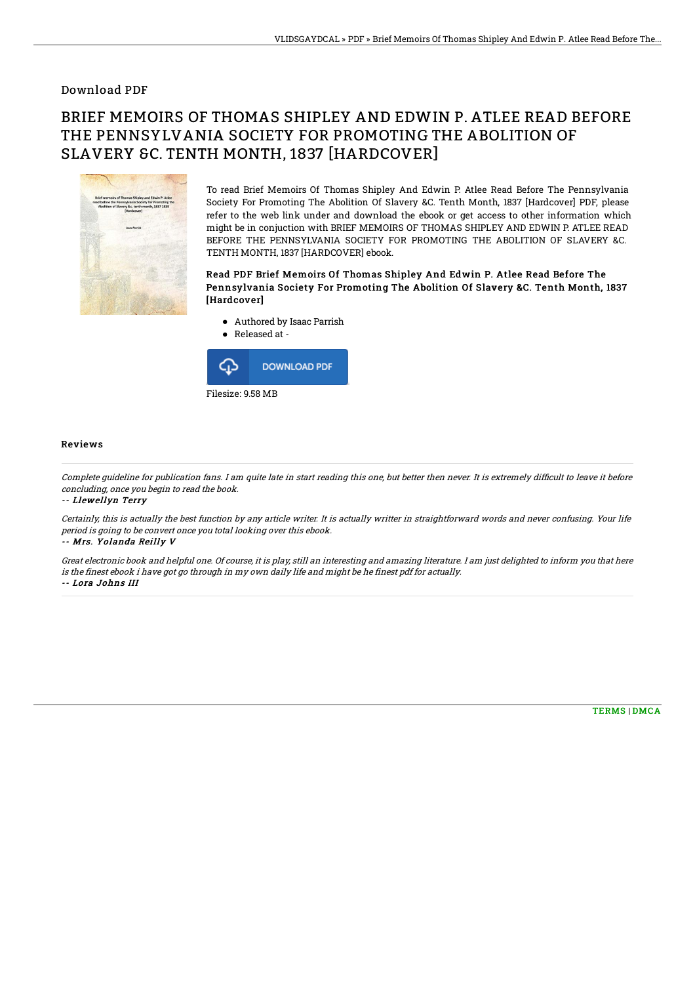### Download PDF

# BRIEF MEMOIRS OF THOMAS SHIPLEY AND EDWIN P. ATLEE READ BEFORE THE PENNSYLVANIA SOCIETY FOR PROMOTING THE ABOLITION OF SLAVERY &C. TENTH MONTH, 1837 [HARDCOVER]



To read Brief Memoirs Of Thomas Shipley And Edwin P. Atlee Read Before The Pennsylvania Society For Promoting The Abolition Of Slavery &C. Tenth Month, 1837 [Hardcover] PDF, please refer to the web link under and download the ebook or get access to other information which might be in conjuction with BRIEF MEMOIRS OF THOMAS SHIPLEY AND EDWIN P. ATLEE READ BEFORE THE PENNSYLVANIA SOCIETY FOR PROMOTING THE ABOLITION OF SLAVERY &C. TENTH MONTH, 1837 [HARDCOVER] ebook.

#### Read PDF Brief Memoirs Of Thomas Shipley And Edwin P. Atlee Read Before The Pennsylvania Society For Promoting The Abolition Of Slavery &C. Tenth Month, 1837 [Hardcover]

- Authored by Isaac Parrish
- Released at  $\bullet$



#### Reviews

Complete guideline for publication fans. I am quite late in start reading this one, but better then never. It is extremely difficult to leave it before concluding, once you begin to read the book.

-- Llewellyn Terry

Certainly, this is actually the best function by any article writer. It is actually writter in straightforward words and never confusing. Your life period is going to be convert once you total looking over this ebook.

-- Mrs. Yolanda Reilly V

Great electronic book and helpful one. Of course, it is play, still an interesting and amazing literature. I am just delighted to inform you that here is the finest ebook i have got go through in my own daily life and might be he finest pdf for actually. -- Lora Johns III